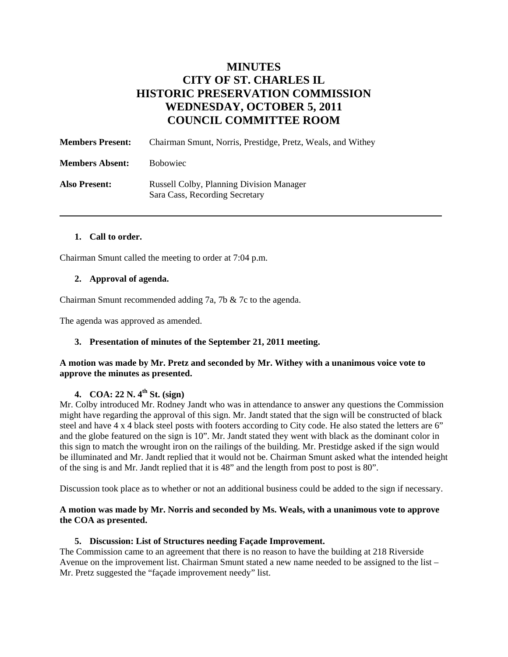# **MINUTES CITY OF ST. CHARLES IL HISTORIC PRESERVATION COMMISSION WEDNESDAY, OCTOBER 5, 2011 COUNCIL COMMITTEE ROOM**

| <b>Members Present:</b> | Chairman Smunt, Norris, Prestidge, Pretz, Weals, and Withey                       |
|-------------------------|-----------------------------------------------------------------------------------|
| <b>Members Absent:</b>  | <b>B</b> obowiec                                                                  |
| <b>Also Present:</b>    | <b>Russell Colby, Planning Division Manager</b><br>Sara Cass, Recording Secretary |

#### **1. Call to order.**

Chairman Smunt called the meeting to order at 7:04 p.m.

#### **2. Approval of agenda.**

Chairman Smunt recommended adding 7a, 7b & 7c to the agenda.

The agenda was approved as amended.

#### **3. Presentation of minutes of the September 21, 2011 meeting.**

#### **A motion was made by Mr. Pretz and seconded by Mr. Withey with a unanimous voice vote to approve the minutes as presented.**

## **4. COA: 22 N. 4th St. (sign)**

Mr. Colby introduced Mr. Rodney Jandt who was in attendance to answer any questions the Commission might have regarding the approval of this sign. Mr. Jandt stated that the sign will be constructed of black steel and have 4 x 4 black steel posts with footers according to City code. He also stated the letters are 6" and the globe featured on the sign is 10". Mr. Jandt stated they went with black as the dominant color in this sign to match the wrought iron on the railings of the building. Mr. Prestidge asked if the sign would be illuminated and Mr. Jandt replied that it would not be. Chairman Smunt asked what the intended height of the sing is and Mr. Jandt replied that it is 48" and the length from post to post is 80".

Discussion took place as to whether or not an additional business could be added to the sign if necessary.

#### **A motion was made by Mr. Norris and seconded by Ms. Weals, with a unanimous vote to approve the COA as presented.**

#### **5. Discussion: List of Structures needing Façade Improvement.**

The Commission came to an agreement that there is no reason to have the building at 218 Riverside Avenue on the improvement list. Chairman Smunt stated a new name needed to be assigned to the list – Mr. Pretz suggested the "façade improvement needy" list.